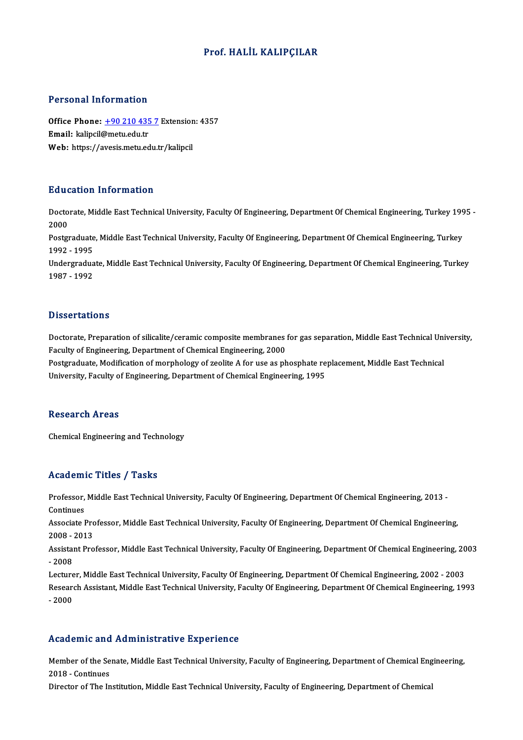### Prof.HALİL KALIPÇILAR

### Personal Information

Personal Information<br>Office Phone: <u>+90 210 435 7</u> Extension: 4357<br>Email: kalingil@mety.edu.tr Fersonar micromation<br>Office Phone: <u>+90 210 435</u><br>Email: kalipcil[@metu.edu.tr](tel:+90 210 435 7) Office Phone: <u>+90 210 435 7</u> Extension<br>Email: kalipcil@metu.edu.tr<br>Web: https://avesis.metu.edu.tr/kalipcil Web: https://avesis.metu.edu.tr/kalipcil<br>Education Information

**Education Information**<br>Doctorate, Middle East Technical University, Faculty Of Engineering, Department Of Chemical Engineering, Turkey 1995 -<br>2000 Data<br>Docto<br>2000<br>Postar Doctorate, Middle East Technical University, Faculty Of Engineering, Department Of Chemical Engineering, Turkey 199<br>2000<br>Postgraduate, Middle East Technical University, Faculty Of Engineering, Department Of Chemical Engine

2000<br>Postgraduate, Middle East Technical University, Faculty Of Engineering, Department Of Chemical Engineering, Turkey<br>1992 - 1995 Postgraduate, Middle East Technical University, Faculty Of Engineering, Department Of Chemical Engineering, Turkey<br>1992 - 1995<br>Undergraduate, Middle East Technical University, Faculty Of Engineering, Department Of Chemical

1992 - 1995<br>Undergradua<br>1987 - 1992 1987 - 1992<br>Dissertations

Dissertations<br>Doctorate, Preparation of silicalite/ceramic composite membranes for gas separation, Middle East Technical University,<br>Fegulty of Engineering, Department of Chamical Engineering, 2000 Faculty of Engineering, Department of Chemical Engineering, 2000<br>Postgraduate, Modification of morphology of zeolite A for use as phosphate replacement, Middle East Technical Doctorate, Preparation of silicalite/ceramic composite membranes for gas separation, Middle East Technical Uni<br>Faculty of Engineering, Department of Chemical Engineering, 2000<br>Postgraduate, Modification of morphology of ze

University, Faculty of Engineering, Department of Chemical Engineering, 1995

### **Research Areas**

Chemical Engineering and Technology

### Academic Titles / Tasks

Academic Titles / Tasks<br>Professor, Middle East Technical University, Faculty Of Engineering, Department Of Chemical Engineering, 2013 -<br>Centinues Professor,<br>Continues<br>Associate I Professor, Middle East Technical University, Faculty Of Engineering, Department Of Chemical Engineering, 2013 -<br>Continues<br>Associate Professor, Middle East Technical University, Faculty Of Engineering, Department Of Chemica

Continues<br>Associate Pro<br>2008 - 2013<br>Assistant Pro Associate Professor, Middle East Technical University, Faculty Of Engineering, Department Of Chemical Engineering,<br>2008 - 2013<br>Assistant Professor, Middle East Technical University, Faculty Of Engineering, Department Of Ch

2008 - 1<br>Assistai<br>- 2008<br>Lecture Assistant Professor, Middle East Technical University, Faculty Of Engineering, Department Of Chemical Engineering, 20<br>- 2008<br>Lecturer, Middle East Technical University, Faculty Of Engineering, Department Of Chemical Engine

- 2008<br>Lecturer, Middle East Technical University, Faculty Of Engineering, Department Of Chemical Engineering, 2002 - 2003<br>Research Assistant, Middle East Technical University, Faculty Of Engineering, Department Of Chemica Lecture<br>Researe<br>- 2000

# Academic and Administrative Experience

Academic and Administrative Experience<br>Member of the Senate, Middle East Technical University, Faculty of Engineering, Department of Chemical Engineering,<br>2018 - Continues Member of the Se<br>2018 - Continues<br>Dinaston of The In

2018 - Continues<br>Director of The Institution, Middle East Technical University, Faculty of Engineering, Department of Chemical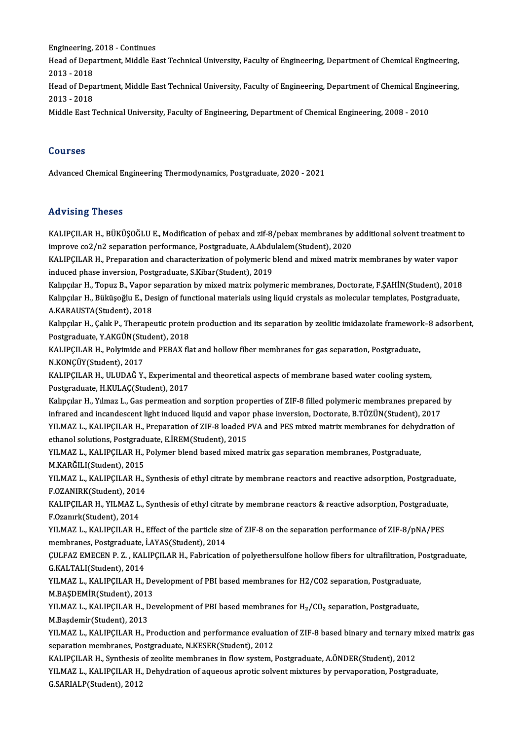engineering, 2018 - Continues<br>Heed of Depertment, Middle Es Head of Department, Middle East Technical University, Faculty of Engineering, Department of Chemical Engineering,<br>2013 - 2018 Engineering,<br>Head of Depa<br>2013 - 2018<br>Head of Depa Head of Department, Middle East Technical University, Faculty of Engineering, Department of Chemical Engineering,<br>2013 - 2018<br>Head of Department, Middle East Technical University, Faculty of Engineering, Department of Chem 2013 - 2018<br>Head of Depa<br>2013 - 2018<br>Middle Fest T Head of Department, Middle East Technical University, Faculty of Engineering, Department of Chemical Engii<br>2013 - 2018<br>Middle East Technical University, Faculty of Engineering, Department of Chemical Engineering, 2008 - 20 Middle East Technical University, Faculty of Engineering, Department of Chemical Engineering, 2008 - 2010<br>Courses

Advanced Chemical Engineering Thermodynamics, Postgraduate, 2020 - 2021

### Advising Theses

Advising Theses<br>KALIPÇILAR H., BÜKÜŞOĞLU E., Modification of pebax and zif-8/pebax membranes by additional solvent treatment to<br>impreve 403/p3 separation performance Pestaraduste A Abdulelem(Student), 3030. ind viering Tiresees<br>KALIPÇILAR H., BÜKÜŞOĞLU E., Modification of pebax and zif-8/pebax membranes by<br>improve co2/n2 separation performance, Postgraduate, A.Abdulalem(Student), 2020<br>KALIPCU AR H., Properation and sharasteri KALIPÇILAR H., BÜKÜŞOĞLU E., Modification of pebax and zif-8/pebax membranes by additional solvent treatment t<br>improve co2/n2 separation performance, Postgraduate, A.Abdulalem(Student), 2020<br>KALIPÇILAR H., Preparation and improve co2/n2 separation performance, Postgraduate, A.Abdulalem(Student), 2020<br>KALIPÇILAR H., Preparation and characterization of polymeric blend and mixed matrix membranes by water vapor<br>induced phase inversion, Postgrad KALIPÇILAR H., Preparation and characterization of polymeric blend and mixed matrix membranes by water vapor<br>induced phase inversion, Postgraduate, S.Kibar(Student), 2019<br>Kalıpçılar H., Topuz B., Vapor separation by mixed induced phase inversion, Postgraduate, S.Kibar(Student), 2019<br>Kalıpçılar H., Topuz B., Vapor separation by mixed matrix polymeric membranes, Doctorate, F.ŞAHİN(Student), 2018<br>Kalıpçılar H., Büküşoğlu E., Design of function Kalıpçılar H., Topuz B., Vapor<br>Kalıpçılar H., Büküşoğlu E., De<br>A.KARAUSTA(Student), 2018<br>Kalıpçılar H. Calık B. Therape Kalıpçılar H., Büküşoğlu E., Design of functional materials using liquid crystals as molecular templates, Postgraduate,<br>A.KARAUSTA(Student), 2018<br>Kalıpçılar H., Çalık P., Therapeutic protein production and its separation b A.KARAUSTA(Student), 2018<br>Kalıpçılar H., Çalık P., Therapeutic protei<br>Postgraduate, Y.AKGÜN(Student), 2018<br>KALIPCU AP H., Polyimide and PERAY fle Kalıpçılar H., Çalık P., Therapeutic protein production and its separation by zeolitic imidazolate frameworl<br>Postgraduate, Y.AKGÜN(Student), 2018<br>KALIPÇILAR H., Polyimide and PEBAX flat and hollow fiber membranes for gas s Postgraduate, Y.AKGÜN(Student), 2018<br>KALIPÇILAR H., Polyimide and PEBAX flat and hollow fiber membranes for gas separation, Postgraduate,<br>N.KONÇÜY(Student), 2017<br>KALIPCILAR H., ULUDAĞ Y., Experimental and theoretical aspec KALIPÇILAR H., Polyimide and PEBAX flat and hollow fiber membranes for gas separation, Postgraduate, Postgraduate, H.KULAÇ(Student), 2017 KALIPÇILAR H., ULUDAĞ Y., Experimental and theoretical aspects of membrane based water cooling system,<br>Postgraduate, H.KULAÇ(Student), 2017<br>Kalıpçılar H., Yılmaz L., Gas permeation and sorption properties of ZIF-8 filled p Postgraduate, H.KULAÇ(Student), 2017<br>Kalıpçılar H., Yılmaz L., Gas permeation and sorption properties of ZIF-8 filled polymeric membranes prepared<br>infrared and incandescent light induced liquid and vapor phase inversion, D Kalıpçılar H., Yılmaz L., Gas permeation and sorption properties of ZIF-8 filled polymeric membranes prepared by<br>infrared and incandescent light induced liquid and vapor phase inversion, Doctorate, B.TÜZÜN(Student), 2017<br>Y infrared and incandescent light induced liquid and vapor<br>YILMAZ L., KALIPÇILAR H., Preparation of ZIF-8 loaded l<br>ethanol solutions, Postgraduate, E.İREM(Student), 2015<br>YUMAZ L., KALIPCU AP H., Polyman bland based miyed r YILMAZ L., KALIPÇILAR H., Preparation of ZIF-8 loaded PVA and PES mixed matrix membranes for dehyc<br>ethanol solutions, Postgraduate, E.İREM(Student), 2015<br>YILMAZ L., KALIPÇILAR H., Polymer blend based mixed matrix gas separ ethanol solutions, Postgraduate, E.İREM(Student), 2015<br>YILMAZ L., KALIPÇILAR H., Polymer blend based mixed matrix gas separation membranes, Postgraduate, YILMAZ L., KALIPÇILAR H., Synthesis of ethyl citrate by membrane reactors and reactive adsorption, Postgraduate,<br>F.OZANIRK(Student), 2014 M.KARĞILI(Student), 2015 YILMAZ L., KALIPÇILAR H., Synthesis of ethyl citrate by membrane reactors and reactive adsorption, Postgraduat<br>F.OZANIRK(Student), 2014<br>KALIPÇILAR H., YILMAZ L., Synthesis of ethyl citrate by membrane reactors & reactive a F.OZANIRK(Student), 2014<br>KALIPÇILAR H., YILMAZ L.<br>F.Ozanırk(Student), 2014<br>YILMAZ L., KALIPCILAR H KALIPÇILAR H., YILMAZ L., Synthesis of ethyl citrate by membrane reactors & reactive adsorption, Postgraduate<br>F.Ozanırk(Student), 2014<br>YILMAZ L., KALIPÇILAR H., Effect of the particle size of ZIF-8 on the separation perfor F.Ozanırk(Student), 2014<br>YILMAZ L., KALIPÇILAR H., Effect of the particle size of ZIF-8 on the separation performance of ZIF-8/pNA/PES ÇULFAZ EMECEN P. Z., KALIPÇILAR H., Fabrication of polyethersulfone hollow fibers for ultrafiltration, Postgraduate,<br>G.KALTALI(Student), 2014 membranes, Postgraduate, İ.AYAS(Student), 2014 CULFAZ EMECEN P. Z. , KALIPÇILAR H., Fabrication of polyethersulfone hollow fibers for ultrafiltration, P<br>G.KALTALI(Student), 2014<br>YILMAZ L., KALIPÇILAR H., Development of PBI based membranes for H2/CO2 separation, Postgra G.KALTALI(Student), 2014<br>YILMAZ L., KALIPÇILAR H., De<br>M.BAŞDEMİR(Student), 2013<br>YU MAZ L. KALIPÇU AR H. De YILMAZ L., KALIPÇILAR H., Development of PBI based membranes for H2/CO2 separation, Postgraduate<br>M.BAŞDEMİR(Student), 2013<br>YILMAZ L., KALIPÇILAR H., Development of PBI based membranes for H<sub>2</sub>/CO<sub>2</sub> separation, Postgraduat M.BAŞDEMİR(Student), 2013<br>YILMAZ L., KALIPÇILAR H., Development of PBI based membranes for H<sub>2</sub>/CO<sub>2</sub> separation, Postgraduate,<br>M.Başdemir(Student), 2013 YILMAZ L., KALIPÇILAR H., Development of PBI based membranes for H<sub>2</sub>/CO<sub>2</sub> separation, Postgraduate,<br>M.Başdemir(Student), 2013<br>YILMAZ L., KALIPÇILAR H., Production and performance evaluation of ZIF-8 based binary and tern M.Başdemir(Student), 2013<br>YILMAZ L., KALIPÇILAR H., Production and performance evaluat<br>separation membranes, Postgraduate, N.KESER(Student), 2012<br>KALIPCU AR H., Synthesia of realite membranes in flow system YILMAZ L., KALIPÇILAR H., Production and performance evaluation of ZIF-8 based binary and ternary n<br>separation membranes, Postgraduate, N.KESER(Student), 2012<br>KALIPÇILAR H., Synthesis of zeolite membranes in flow system, P separation membranes, Postgraduate, N.KESER(Student), 2012<br>KALIPÇILAR H., Synthesis of zeolite membranes in flow system, Postgraduate, A.ÖNDER(Student), 2012<br>YILMAZ L., KALIPÇILAR H., Dehydration of aqueous aprotic solvent KALIPCILAR H., Synthesis of zeolite membranes in flow system, Postgraduate, A.ÖNDER(Student), 2012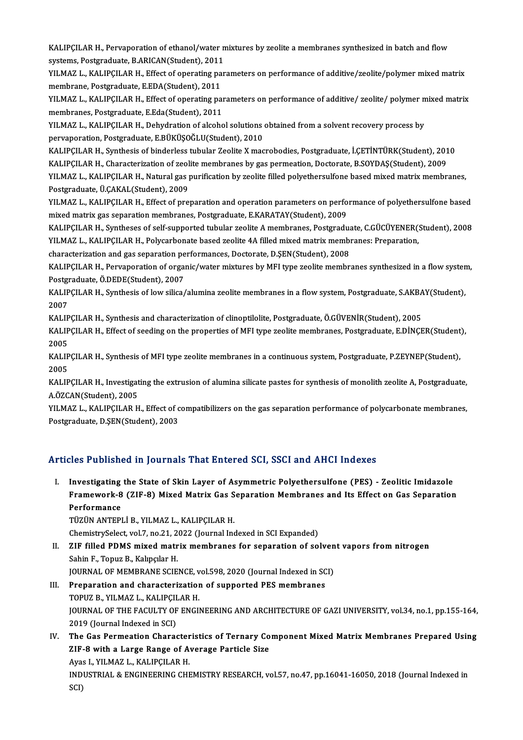KALIPÇILAR H., Pervaporation of ethanol/water mixtures by zeolite a membranes synthesized in batch and flow<br>systems Pestanedusta B ABICAN(Student), 2011 KALIPÇILAR H., Pervaporation of ethanol/water n<br>systems, Postgraduate, B.ARICAN(Student), 2011<br>VILMAZ L. KALIPCU AR H., Effect of operating per KALIPÇILAR H., Pervaporation of ethanol/water mixtures by zeolite a membranes synthesized in batch and flow<br>systems, Postgraduate, B.ARICAN(Student), 2011<br>YILMAZ L., KALIPÇILAR H., Effect of operating parameters on perform

systems, Postgraduate, B.ARICAN(Student), 2011<br>YILMAZ L., KALIPÇILAR H., Effect of operating pa<br>membrane, Postgraduate, E.EDA(Student), 2011<br>YU MAZ L., KALIPCU AP H., Effect of operating pa YILMAZ L., KALIPÇILAR H., Effect of operating parameters on performance of additive/zeolite/polymer mixed matrix<br>membrane, Postgraduate, E.EDA(Student), 2011<br>YILMAZ L., KALIPÇILAR H., Effect of operating parameters on perf

membrane, Postgraduate, E.EDA(Student), 2011<br>YILMAZ L., KALIPÇILAR H., Effect of operating pai<br>membranes, Postgraduate, E.Eda(Student), 2011<br>YU MAZ L. KALIPCU AB H., Dobydration of alsoba YILMAZ L., KALIPÇILAR H., Effect of operating parameters on performance of additive/ zeolite/ polymer n<br>membranes, Postgraduate, E.Eda(Student), 2011<br>YILMAZ L., KALIPÇILAR H., Dehydration of alcohol solutions obtained from

membranes, Postgraduate, E.Eda(Student), 2011<br>YILMAZ L., KALIPÇILAR H., Dehydration of alcohol solutions<br>pervaporation, Postgraduate, E.BÜKÜŞOĞLU(Student), 2010<br>KALIPCU AB H. Synthesis of binderless tubular Zoolite Y mag YILMAZ L., KALIPÇILAR H., Dehydration of alcohol solutions obtained from a solvent recovery process by<br>pervaporation, Postgraduate, E.BÜKÜŞOĞLU(Student), 2010<br>KALIPÇILAR H., Synthesis of binderless tubular Zeolite X macrob

pervaporation, Postgraduate, E.BÜKÜŞOĞLU(Student), 2010<br>KALIPÇILAR H., Synthesis of binderless tubular Zeolite X macrobodies, Postgraduate, İ.ÇETİNTÜRK(Student), 201<br>KALIPÇILAR H., Characterization of zeolite membranes by

KALIPÇILAR H., Synthesis of binderless tubular Zeolite X macrobodies, Postgraduate, İ.ÇETİNTÜRK(Student), 2010<br>KALIPÇILAR H., Characterization of zeolite membranes by gas permeation, Doctorate, B.SOYDAŞ(Student), 2009<br>YILM KALIPÇILAR H., Characterization of zeol<br>YILMAZ L., KALIPÇILAR H., Natural gas <sub>l</sub><br>Postgraduate, Ü.ÇAKAL(Student), 2009<br>YU MAZ L. KALIPCU AB H., Effect of pro YILMAZ L., KALIPÇILAR H., Natural gas purification by zeolite filled polyethersulfone based mixed matrix membranes,<br>Postgraduate, Ü.ÇAKAL(Student), 2009<br>YILMAZ L., KALIPÇILAR H., Effect of preparation and operation paramet

mixed matrix gas separation membranes, Postgraduate, E.KARATAY(Student), 2009 YILMAZ L., KALIPÇILAR H., Effect of preparation and operation parameters on performance of polyethersulfone based<br>mixed matrix gas separation membranes, Postgraduate, E.KARATAY(Student), 2009<br>KALIPÇILAR H., Syntheses of se

mixed matrix gas separation membranes, Postgraduate, E.KARATAY(Student), 2009<br>KALIPÇILAR H., Syntheses of self-supported tubular zeolite A membranes, Postgraduate, C.GÜCÜYENER(:<br>YILMAZ L., KALIPÇILAR H., Polycarbonate base KALIPÇILAR H., Syntheses of self-supported tubular zeolite A membranes, Postgradua<br>YILMAZ L., KALIPÇILAR H., Polycarbonate based zeolite 4A filled mixed matrix membr<br>characterization and gas separation performances, Doctor YILMAZ L., KALIPÇILAR H., Polycarbonate based zeolite 4A filled mixed matrix membranes: Preparation,<br>characterization and gas separation performances, Doctorate, D.ŞEN(Student), 2008<br>KALIPCILAR H., Pervaporation of organic

characterization and gas separation pe<br>KALIPÇILAR H., Pervaporation of organ<br>Postgraduate, Ö.DEDE(Student), 2007<br>KALIPCU AP H. Symthesia of low silice ( KALIPÇILAR H., Pervaporation of organic/water mixtures by MFI type zeolite membranes synthesized in a flow syster<br>Postgraduate, Ö.DEDE(Student), 2007<br>KALIPÇILAR H., Synthesis of low silica/alumina zeolite membranes in a fl

Postgi<br>KALIP<br>2007<br>KALIP KALIPÇILAR H., Synthesis of low silica/alumina zeolite membranes in a flow system, Postgraduate, S.AKBA<br>2007<br>KALIPÇILAR H., Synthesis and characterization of clinoptilolite, Postgraduate, Ö.GÜVENİR(Student), 2005<br>KALIPÇILA

2007<br>KALIPÇILAR H., Synthesis and characterization of clinoptilolite, Postgraduate, Ö.GÜVENİR(Student), 2005<br>KALIPÇILAR H., Effect of seeding on the properties of MFI type zeolite membranes, Postgraduate, E.DİNÇER(Student) KALIP<br>KALIP<br>2005<br>KALIP KALIPÇILAR H., Effect of seeding on the properties of MFI type zeolite membranes, Postgraduate, E.DİNÇER(Student<br>2005<br>KALIPÇILAR H., Synthesis of MFI type zeolite membranes in a continuous system, Postgraduate, P.ZEYNEP(St

2005<br>KALIPÇILAR H., Synthesis of MFI type zeolite membranes in a continuous system, Postgraduate, P.ZEYNEP(Student),<br>2005 KALIPÇILAR H., Synthesis of MFI type zeolite membranes in a continuous system, Postgraduate, P.ZEYNEP(Student),<br>2005<br>KALIPÇILAR H., Investigating the extrusion of alumina silicate pastes for synthesis of monolith zeolite A

2005<br>KALIPÇILAR H., Investigat<br>A.ÖZCAN(Student), 2005<br>YU MAZ L., KALIPCU AP H KALIPÇILAR H., Investigating the extrusion of alumina silicate pastes for synthesis of monolith zeolite A, Postgraduate,<br>A.ÖZCAN(Student), 2005<br>YILMAZ L., KALIPÇILAR H., Effect of compatibilizers on the gas separation perf

A.ÖZCAN(Student), 2005<br>YILMAZ L., KALIPÇILAR H., Effect of c<br>Postgraduate, D.ŞEN(Student), 2003

# Postgraduate, D.ŞEN(Student), 2003<br>Articles Published in Journals That Entered SCI, SSCI and AHCI Indexes

I. Investigating the State of Skin Layer of Asymmetric Polyethersulfone (PES) - Zeolitic Imidazole Free Fubrished in Journals That Enter on Sor, Soor and Throf Indenes<br>Investigating the State of Skin Layer of Asymmetric Polyethersulfone (PES) - Zeolitic Imidazole<br>Framework-8 (ZIF-8) Mixed Matrix Gas Separation Membranes Investigating<br>Framework-8<br>Performance<br>TüzüN ANTEDI Framework-8 (ZIF-8) Mixed Matrix Gas S<br>Performance<br>TÜZÜN ANTEPLİ B., YILMAZ L., KALIPÇILAR H.<br>ChamisturSalast val 7 na 21 2022 (Jaurnal Inc Performance<br>TÜZÜN ANTEPLİ B., YILMAZ L., KALIPÇILAR H.<br>ChemistrySelect, vol.7, no.21, 2022 (Journal Indexed in SCI Expanded)<br>ZIE filled PDMS mixed matrix membranes for senaration of Se

TÜZÜN ANTEPLİ B., YILMAZ L., KALIPÇILAR H.<br>ChemistrySelect, vol.7, no.21, 2022 (Journal Indexed in SCI Expanded)<br>II. ZIF filled PDMS mixed matrix membranes for separation of solvent vapors from nitrogen<br>Sabin E. Tonus B. K ChemistrySelect, vol.7, no.21, 2<br>ZIF filled PDMS mixed matr<br>Sahin F., Topuz B., Kalıpçılar H.<br>JOUPMAL OF MEMPPANE SCIE ZIF filled PDMS mixed matrix membranes for separation of solven<br>Sahin F., Topuz B., Kalıpçılar H.<br>JOURNAL OF MEMBRANE SCIENCE, vol.598, 2020 (Journal Indexed in SCI)<br>Preperation and characterization of supported BES membra

- Sahin F., Topuz B., Kalıpçılar H.<br>JOURNAL OF MEMBRANE SCIENCE, vol.598, 2020 (Journal Indexed in SC)<br>III. Preparation and characterization of supported PES membranes<br>TOPUZ B. VU MAZ L. KALIPCU AB H. **JOURNAL OF MEMBRANE SCIENCE, v<br>Preparation and characterization<br>TOPUZ B., YILMAZ L., KALIPÇILAR H.<br>JOUPNAL OF THE EACHLTY OF ENCH** Preparation and characterization of supported PES membranes<br>TOPUZ B., YILMAZ L., KALIPÇILAR H.<br>JOURNAL OF THE FACULTY OF ENGINEERING AND ARCHITECTURE OF GAZI UNIVERSITY, vol.34, no.1, pp.155-164,<br>2019 (Journal Indoved in S TOPUZ B., YILMAZ L., KALIPÇII<br>JOURNAL OF THE FACULTY OF<br>2019 (Journal Indexed in SCI)<br>The Gee Bermeation Charac JOURNAL OF THE FACULTY OF ENGINEERING AND ARCHITECTURE OF GAZI UNIVERSITY, vol.34, no.1, pp.155-164,<br>2019 (Journal Indexed in SCI)<br>IV. The Gas Permeation Characteristics of Ternary Component Mixed Matrix Membranes Prepared
- 2019 (Journal Indexed in SCI)<br>The Gas Permeation Characteristics of Ternary Co<br>ZIF-8 with a Large Range of Average Particle Size The Gas Permeation Character<br>ZIF-8 with a Large Range of A<br>Ayas I., YILMAZ L., KALIPÇILAR H.<br>INDUSTRIAL & ENCINEERING CH ZIF-8 with a Large Range of Average Particle Size<br>Ayas I., YILMAZ L., KALIPÇILAR H.<br>INDUSTRIAL & ENGINEERING CHEMISTRY RESEARCH, vol.57, no.47, pp.16041-16050, 2018 (Journal Indexed in<br>SCI) Ayas I., YILMAZ L., KALIPCILAR H.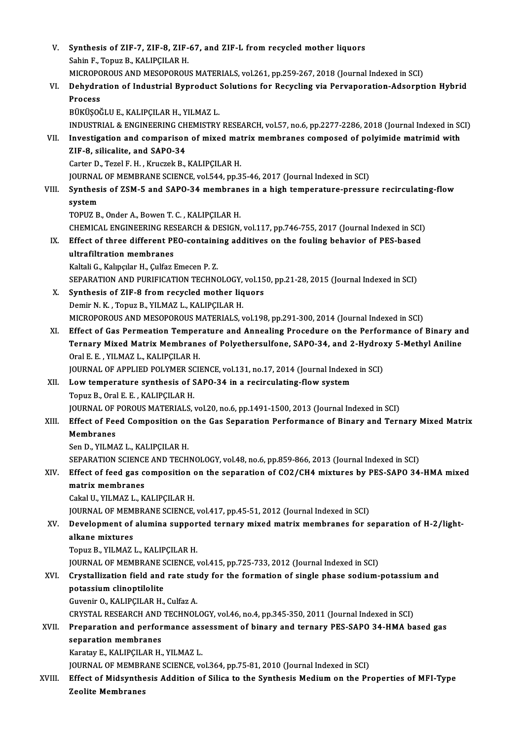| V.     | Synthesis of ZIF-7, ZIF-8, ZIF-67, and ZIF-L from recycled mother liquors                                         |
|--------|-------------------------------------------------------------------------------------------------------------------|
|        | Sahin F., Topuz B., KALIPÇILAR H.                                                                                 |
|        | MICROPOROUS AND MESOPOROUS MATERIALS, vol.261, pp.259-267, 2018 (Journal Indexed in SCI)                          |
| VI.    | Dehydration of Industrial Byproduct Solutions for Recycling via Pervaporation-Adsorption Hybrid                   |
|        | Process                                                                                                           |
|        | BÜKÜŞOĞLU E., KALIPÇILAR H., YILMAZ L.                                                                            |
|        | INDUSTRIAL & ENGINEERING CHEMISTRY RESEARCH, vol.57, no.6, pp.2277-2286, 2018 (Journal Indexed in SCI)            |
| VII.   | Investigation and comparison of mixed matrix membranes composed of polyimide matrimid with                        |
|        | ZIF-8, silicalite, and SAPO-34                                                                                    |
|        | Carter D., Tezel F. H., Kruczek B., KALIPÇILAR H.                                                                 |
|        | JOURNAL OF MEMBRANE SCIENCE, vol.544, pp.35-46, 2017 (Journal Indexed in SCI)                                     |
| VIII.  | Synthesis of ZSM-5 and SAPO-34 membranes in a high temperature-pressure recirculating-flow                        |
|        | system                                                                                                            |
|        | TOPUZ B., Onder A., Bowen T. C., KALIPCILAR H.                                                                    |
|        | CHEMICAL ENGINEERING RESEARCH & DESIGN, vol.117, pp.746-755, 2017 (Journal Indexed in SCI)                        |
| IX.    | Effect of three different PEO-containing additives on the fouling behavior of PES-based                           |
|        | ultrafiltration membranes                                                                                         |
|        | Kaltali G., Kalıpçılar H., Çulfaz Emecen P.Z.                                                                     |
|        | SEPARATION AND PURIFICATION TECHNOLOGY, vol.150, pp.21-28, 2015 (Journal Indexed in SCI)                          |
| Х.     | Synthesis of ZIF-8 from recycled mother liquors                                                                   |
|        | Demir N. K., Topuz B., YILMAZ L., KALIPÇILAR H.                                                                   |
|        | MICROPOROUS AND MESOPOROUS MATERIALS, vol.198, pp.291-300, 2014 (Journal Indexed in SCI)                          |
| XI.    | Effect of Gas Permeation Temperature and Annealing Procedure on the Performance of Binary and                     |
|        | Ternary Mixed Matrix Membranes of Polyethersulfone, SAPO-34, and 2-Hydroxy 5-Methyl Aniline                       |
|        | Oral E. E., YILMAZ L., KALIPÇILAR H.                                                                              |
|        | JOURNAL OF APPLIED POLYMER SCIENCE, vol.131, no.17, 2014 (Journal Indexed in SCI)                                 |
| XII.   | Low temperature synthesis of SAPO-34 in a recirculating-flow system                                               |
|        | Topuz B., Oral E. E., KALIPÇILAR H.                                                                               |
|        | JOURNAL OF POROUS MATERIALS, vol.20, no.6, pp.1491-1500, 2013 (Journal Indexed in SCI)                            |
| XIII.  | Effect of Feed Composition on the Gas Separation Performance of Binary and Ternary Mixed Matrix                   |
|        | Membranes                                                                                                         |
|        | Sen D., YILMAZ L., KALIPÇILAR H.                                                                                  |
|        | SEPARATION SCIENCE AND TECHNOLOGY, vol.48, no.6, pp.859-866, 2013 (Journal Indexed in SCI)                        |
| XIV.   | Effect of feed gas composition on the separation of CO2/CH4 mixtures by PES-SAPO 34-HMA mixed<br>matrix membranes |
|        | Cakal U., YILMAZ L., KALIPÇILAR H.                                                                                |
|        | JOURNAL OF MEMBRANE SCIENCE, vol.417, pp.45-51, 2012 (Journal Indexed in SCI)                                     |
| XV.    | Development of alumina supported ternary mixed matrix membranes for separation of H-2/light-                      |
|        | alkane mixtures                                                                                                   |
|        | Topuz B., YILMAZ L., KALIPÇILAR H.                                                                                |
|        | JOURNAL OF MEMBRANE SCIENCE, vol.415, pp.725-733, 2012 (Journal Indexed in SCI)                                   |
| XVI.   | Crystallization field and rate study for the formation of single phase sodium-potassium and                       |
|        | potassium clinoptilolite                                                                                          |
|        | Guvenir O., KALIPÇILAR H., Culfaz A.                                                                              |
|        | CRYSTAL RESEARCH AND TECHNOLOGY, vol.46, no.4, pp.345-350, 2011 (Journal Indexed in SCI)                          |
| XVII.  | Preparation and performance assessment of binary and ternary PES-SAPO 34-HMA based gas                            |
|        | separation membranes                                                                                              |
|        | Karatay E., KALIPÇILAR H., YILMAZ L.                                                                              |
|        | JOURNAL OF MEMBRANE SCIENCE, vol.364, pp.75-81, 2010 (Journal Indexed in SCI)                                     |
| XVIII. | Effect of Midsynthesis Addition of Silica to the Synthesis Medium on the Properties of MFI-Type                   |
|        | <b>Zeolite Membranes</b>                                                                                          |
|        |                                                                                                                   |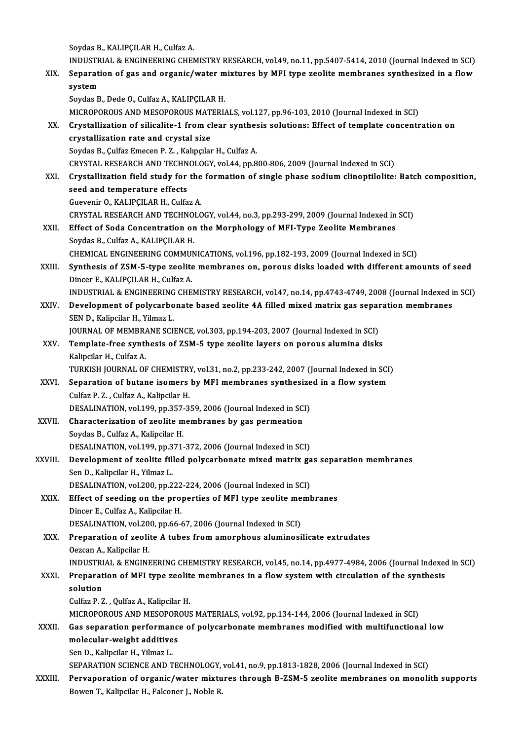Soydas B., KALIPÇILAR H., Culfaz A.

Soydas B., KALIPÇILAR H., Culfaz A.<br>INDUSTRIAL & ENGINEERING CHEMISTRY RESEARCH, vol.49, no.11, pp.5407-5414, 2010 (Journal Indexed in SCI)<br>Senanation of ses and organis/water mixtures by MEI type seelite membranes synthes

Soydas B., KALIPÇILAR H., Culfaz A.<br>INDUSTRIAL & ENGINEERING CHEMISTRY RESEARCH, vol.49, no.11, pp.5407-5414, 2010 (Journal Indexed in SCI)<br>XIX. Separation of gas and organic/water mixtures by MFI type zeolite membrane INDUSTR<br>Separati<br>system<br><sup>Soudes B</sup> Separation of gas and organic/water mixtures by MFI type zeolite membranes synthesized in a flow<br>system<br>Soydas B., Dede O., Culfaz A., KALIPÇILAR H. system<br>Soydas B., Dede O., Culfaz A., KALIPÇILAR H.<br>MICROPOROUS AND MESOPOROUS MATERIALS, vol.127, pp.96-103, 2010 (Journal Indexed in SCI)<br>Crystalligation of silicalite 1 from clear synthosis solutions: Effect of template

- Soydas B., Dede O., Culfaz A., KALIPÇILAR H.<br>MICROPOROUS AND MESOPOROUS MATERIALS, vol.127, pp.96-103, 2010 (Journal Indexed in SCI)<br>XX. Crystallization of silicalite-1 from clear synthesis solutions: Effect of templat MICROPOROUS AND MESOPOROUS MAT<br>Crystallization of silicalite-1 from cl<br>crystallization rate and crystal size<br>Sovdes B. Culfor Emeson B. 7. Kelingilon Crystallization of silicalite-1 from clear synthes<br>crystallization rate and crystal size<br>Soydas B., Çulfaz Emecen P. Z., Kalıpçılar H., Culfaz A.<br>CRYSTAL RESEARCH AND TECHNOLOCY vol 44 pp 8 crystallization rate and crystal size<br>Soydas B., Çulfaz Emecen P. Z. , Kalıpçılar H., Culfaz A.<br>CRYSTAL RESEARCH AND TECHNOLOGY, vol.44, pp.800-806, 2009 (Journal Indexed in SCI)<br>Crystallization field study for the formati
	-
- Soydas B., Çulfaz Emecen P. Z. , Kalıpçılar H., Culfaz A.<br>CRYSTAL RESEARCH AND TECHNOLOGY, vol.44, pp.800-806, 2009 (Journal Indexed in SCI)<br>XXI. Crystallization field study for the formation of single phase sodium cli CRYSTAL RESEARCH AND TECHN<br>Crystallization field study for<br>seed and temperature effects<br>Cuavonir O, KALIBCU AB H, Culto Crystallization field study for the<br>seed and temperature effects<br>Guevenir O., KALIPÇILAR H., Culfaz A.<br>CRYSTAL RESEARCH AND TECHNOLO seed and temperature effects<br>Guevenir O., KALIPÇILAR H., Culfaz A.<br>CRYSTAL RESEARCH AND TECHNOLOGY, vol.44, no.3, pp.293-299, 2009 (Journal Indexed in SCI)<br>Effect of Sode Concentration on the Mernhology of MEL Tune Zeolite Guevenir O., KALIPÇILAR H., Culfaz A.<br>CRYSTAL RESEARCH AND TECHNOLOGY, vol.44, no.3, pp.293-299, 2009 (Journal Indexed in<br>XXII. Effect of Soda Concentration on the Morphology of MFI-Type Zeolite Membranes<br>Seydes B. Culfaz CRYSTAL RESEARCH AND TECHNO<br>Effect of Soda Concentration or<br>Soydas B., Culfaz A., KALIPÇILAR H.<br>CUEMICAL ENCINEERING COMMUN
- Effect of Soda Concentration on the Morphology of MFI-Type Zeolite Membranes<br>Soydas B., Culfaz A., KALIPÇILAR H.<br>CHEMICAL ENGINEERING COMMUNICATIONS, vol.196, pp.182-193, 2009 (Journal Indexed in SCI) Soydas B., Culfaz A., KALIPÇILAR H.<br>CHEMICAL ENGINEERING COMMUNICATIONS, vol.196, pp.182-193, 2009 (Journal Indexed in SCI)<br>XXIII. Synthesis of ZSM-5-type zeolite membranes on, porous disks loaded with different amounts of
- CHEMICAL ENGINEERING COMMUI<br>Synthesis of ZSM-5-type zeolite<br>Dincer E., KALIPÇILAR H., Culfaz A.<br>INDUSTRIAL & ENGINEERING CUE Synthesis of ZSM-5-type zeolite membranes on, porous disks loaded with different amounts of seed<br>Dincer E., KALIPÇILAR H., Culfaz A.<br>INDUSTRIAL & ENGINEERING CHEMISTRY RESEARCH, vol.47, no.14, pp.4743-4749, 2008 (Journal I

Dincer E., KALIPÇILAR H., Culfaz A.<br>INDUSTRIAL & ENGINEERING CHEMISTRY RESEARCH, vol.47, no.14, pp.4743-4749, 2008 (Journal Indexed i<br>XXIV. Development of polycarbonate based zeolite 4A filled mixed matrix gas separati INDUSTRIAL & ENGINEERING<br>Development of polycarbo<br>SEN D., Kalipcilar H., Yilmaz L.<br>JOUPNAL OF MEMPRANE SCU Development of polycarbonate based zeolite 4A filled mixed matrix gas separ<br>SEN D., Kalipcilar H., Yilmaz L.<br>JOURNAL OF MEMBRANE SCIENCE, vol.303, pp.194-203, 2007 (Journal Indexed in SCI)<br>Template free synthesis of ZSM 5

SEN D., Kalipcilar H., Yilmaz L.<br>JOURNAL OF MEMBRANE SCIENCE, vol.303, pp.194-203, 2007 (Journal Indexed in SCI)<br>XXV. Template-free synthesis of ZSM-5 type zeolite layers on porous alumina disks<br>Kalipcilar H., Culfaz A. **JOURNAL OF MEMBRA**<br>Te<mark>mplate-free syntl</mark><br>Kalipcilar H., Culfaz A.<br>TURKISH JOURNAL OF Template-free synthesis of ZSM-5 type zeolite layers on porous alumina disks<br>Kalipcilar H., Culfaz A.<br>TURKISH JOURNAL OF CHEMISTRY, vol.31, no.2, pp.233-242, 2007 (Journal Indexed in SCI)<br>Senaration of butane isomers by ME

Kalipcilar H., Culfaz A.<br>TURKISH JOURNAL OF CHEMISTRY, vol.31, no.2, pp.233-242, 2007 (Journal Indexed in SCI<br>XXVI. Separation of butane isomers by MFI membranes synthesized in a flow system<br>Culfaz B. Z., Culfaz A., Kalips TURKISH JOURNAL OF CHEMISTR!<br>Separation of butane isomers<br>Culfaz P. Z. , Culfaz A., Kalipcilar H.<br>DESALINATION vol 199 pp 357-3 Separation of butane isomers by MFI membranes synthesize<br>Culfaz P. Z. , Culfaz A., Kalipcilar H.<br>DESALINATION, vol.199, pp.357-359, 2006 (Journal Indexed in SCI)<br>Characterization of Faolite membranes by 508 permeation

Culfaz P. Z. , Culfaz A., Kalipcilar H.<br>DESALINATION, vol.199, pp.357-359, 2006 (Journal Indexed in SC<br>XXVII. Characterization of zeolite membranes by gas permeation<br>Soydas B., Culfaz A., Kalipcilar H. DESALINATION, vol.199, pp.357<br>Characterization of zeolite m<br>Soydas B., Culfaz A., Kalipcilar H.<br>DESALINATION vol.199, pp.371 Characterization of zeolite membranes by gas permeation<br>Soydas B., Culfaz A., Kalipcilar H.<br>DESALINATION, vol.199, pp.371-372, 2006 (Journal Indexed in SCI)<br>Development of realite filled polygarbonate mixed metrix *se* 

Soydas B., Culfaz A., Kalipcilar H.<br>DESALINATION, vol.199, pp.371-372, 2006 (Journal Indexed in SCI)<br>XXVIII. Development of zeolite filled polycarbonate mixed matrix gas separation membranes DESALINATION, vol.199, pp.3<br>Development of zeolite fil<br>Sen D., Kalipcilar H., Yilmaz L.<br>DESALINATION, vol.200, pp.2 Development of zeolite filled polycarbonate mixed matrix ga<br>Sen D., Kalipcilar H., Yilmaz L.<br>DESALINATION, vol.200, pp.222-224, 2006 (Journal Indexed in SCI)<br>Effect of seeding on the proporties of MEL type seelite memb

DESALINATION, vol.200, pp.222-224, 2006 (Journal Indexed in SCI)

Sen D., Kalipcilar H., Yilmaz L.<br>DESALINATION, vol.200, pp.222-224, 2006 (Journal Indexed in SCI)<br>XXIX. Effect of seeding on the properties of MFI type zeolite membranes<br>Dincer E., Culfaz A., Kalipcilar H. Effect of seeding on the properties of MFI type zeolite me<br>Dincer E., Culfaz A., Kalipcilar H.<br>DESALINATION, vol.200, pp.66-67, 2006 (Journal Indexed in SCI)<br>Properation of Feolite A types from amorphous aluminosi

XXX. Preparation of zeolite A tubes from amorphous aluminosilicate extrudates Oezcan A., Kalipcilar H. **DESALINATION, vol.20<br>Preparation of zeoli<br>Oezcan A., Kalipcilar H.<br>INDUSTRIAL & ENCINE** Preparation of zeolite A tubes from amorphous aluminosilicate extrudates<br>Oezcan A., Kalipcilar H.<br>INDUSTRIAL & ENGINEERING CHEMISTRY RESEARCH, vol.45, no.14, pp.4977-4984, 2006 (Journal Indexed in SCI)<br>Preparation of MEL t

- Oezcan A., Kalipcilar H.<br>INDUSTRIAL & ENGINEERING CHEMISTRY RESEARCH, vol.45, no.14, pp.4977-4984, 2006 (Journal Indexed<br>XXXI. Preparation of MFI type zeolite membranes in a flow system with circulation of the synthesis<br>Se **INDUSTRI**<br>Preparat<br>solution<br>Culfez P. 3 Preparation of MFI type zeolit<br>solution<br>Culfaz P. Z. , Qulfaz A., Kalipcilar H.<br>MICROBOROUS AND MESOBOROUS
	-

solution<br>Culfaz P. Z. , Qulfaz A., Kalipcilar H.<br>MICROPOROUS AND MESOPOROUS MATERIALS, vol.92, pp.134-144, 2006 (Journal Indexed in SCI)<br>Ces seneration performanes of polyserbonate membranes medified with multifunction:

## Culfaz P. Z. , Qulfaz A., Kalipcilar H.<br>MICROPOROUS AND MESOPOROUS MATERIALS, vol.92, pp.134-144, 2006 (Journal Indexed in SCI)<br>XXXII. Gas separation performance of polycarbonate membranes modified with multifunctional low MICROPOROUS AND MESOPOR<br>Gas separation performanc<br>molecular-weight additives<br>Sep D. Kelingilar H. Vilmar I. Gas separation performan<br>molecular-weight additive<br>Sen D., Kalipcilar H., Yilmaz L.<br>SERARATION SCIENCE AND T molecular-weight additives<br>Sen D., Kalipcilar H., Yilmaz L.<br>SEPARATION SCIENCE AND TECHNOLOGY, vol.41, no.9, pp.1813-1828, 2006 (Journal Indexed in SCI)

Sen D., Kalipcilar H., Yilmaz L.<br>SEPARATION SCIENCE AND TECHNOLOGY, vol.41, no.9, pp.1813-1828, 2006 (Journal Indexed in SCI)<br>XXXIII. Pervaporation of organic/water mixtures through B-ZSM-5 zeolite membranes on monolith su SEPARATION SCIENCE AND TECHNOLOGY,<br><mark>Pervaporation of organic/water mixtu</mark><br>Bowen T., Kalipcilar H., Falconer J., Noble R.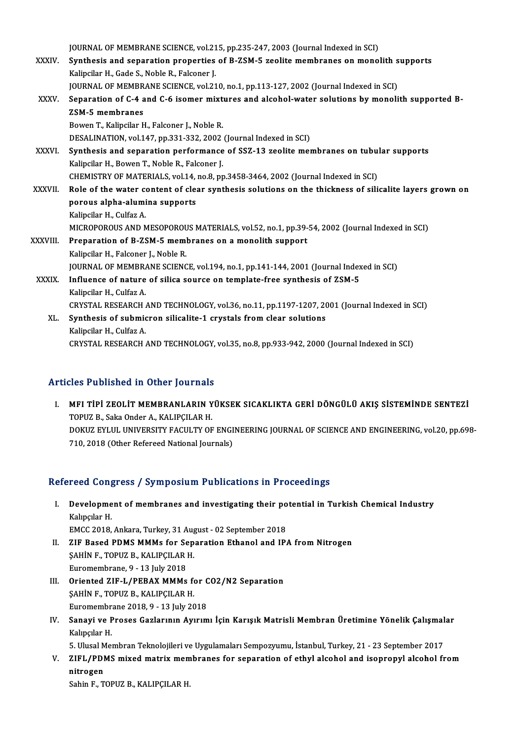JOURNAL OF MEMBRANE SCIENCE, vol.215, pp.235-247, 2003 (Journal Indexed in SCI)<br>Synthesis and conoration proporties of P.ZSM. 5 realite membranes on mone)

JOURNAL OF MEMBRANE SCIENCE, vol.215, pp.235-247, 2003 (Journal Indexed in SCI)<br>XXXIV. Synthesis and separation properties of B-ZSM-5 zeolite membranes on monolith supports **JOURNAL OF MEMBRANE SCIENCE, vol.21<br>Synthesis and separation properties<br>Kalipcilar H., Gade S., Noble R., Falconer J.<br>JOURNAL OF MEMBRANE SCIENCE vol.21** Synthesis and separation properties of B-ZSM-5 zeolite membranes on monolith s<br>Kalipcilar H., Gade S., Noble R., Falconer J.<br>JOURNAL OF MEMBRANE SCIENCE, vol.210, no.1, pp.113-127, 2002 (Journal Indexed in SCI)<br>Separation Kalipcilar H., Gade S., Noble R., Falconer J.<br>JOURNAL OF MEMBRANE SCIENCE, vol.210, no.1, pp.113-127, 2002 (Journal Indexed in SCI)<br>XXXV. Separation of C-4 and C-6 isomer mixtures and alcohol-water solutions by monolith su JOURNAL OF MEMBRANE SCIENCE, vol.210, no.1, pp.113-127, 2002 (Journal Indexed in SCI)

Bowen T., Kalipcilar H., Falconer J., Noble R. DESALINATION, vol.147, pp.331-332, 2002 (Journal Indexed in SCI) Bowen T., Kalipcilar H., Falconer J., Noble R.<br>DESALINATION, vol.147, pp.331-332, 2002 (Journal Indexed in SCI)<br>XXXVI. Synthesis and separation performance of SSZ-13 zeolite membranes on tubular supports<br>Volingilar H. Bowe

DESALINATION, vol.147, pp.331-332, 2002<br>Synthesis and separation performance<br>Kalipcilar H., Bowen T., Noble R., Falconer J.<br>CHEMISTRY OF MATERIALS vol.14, no.2, pr Synthesis and separation performance of SSZ-13 zeolite membranes on tubu.<br>Kalipcilar H., Bowen T., Noble R., Falconer J.<br>CHEMISTRY OF MATERIALS, vol.14, no.8, pp.3458-3464, 2002 (Journal Indexed in SCI)<br>Bole of the water c Kalipcilar H., Bowen T., Noble R., Falconer J.<br>CHEMISTRY OF MATERIALS, vol.14, no.8, pp.3458-3464, 2002 (Journal Indexed in SCI)<br>XXXVII. Role of the water content of clear synthesis solutions on the thickness of silicalite CHEMISTRY OF MATERIALS, vol.14, no.8, pp.3458-3464, 2002 (Journal Indexed in SCI)

Kalipcilar H., Culfaz A. porous alpha-alumina supports<br>Kalipcilar H., Culfaz A.<br>MICROPOROUS AND MESOPOROUS MATERIALS, vol.52, no.1, pp.39-54, 2002 (Journal Indexed in SCI)<br>Preperation of B.7SM 5 mombranes on a monolith sunnert Kalipcilar H., Culfaz A.<br>MICROPOROUS AND MESOPOROUS MATERIALS, vol.52, no.1, pp.39-<br>XXXVIII. Preparation of B-ZSM-5 membranes on a monolith support<br>Kalipsilan H. Ealsonar J. Noble B. MICROPOROUS AND MESOPOROU<br>Preparation of B-ZSM-5 meml<br>Kalipcilar H., Falconer J., Noble R.<br>JOUDNAL OF MEMPDANE SCIENC Preparation of B-ZSM-5 membranes on a monolith support<br>Kalipcilar H., Falconer J., Noble R.<br>JOURNAL OF MEMBRANE SCIENCE, vol.194, no.1, pp.141-144, 2001 (Journal Indexed in SCI)<br>Influence of nature of silice source on temp Kalipcilar H., Falconer J., Noble R.<br>JOURNAL OF MEMBRANE SCIENCE, vol.194, no.1, pp.141-144, 2001 (Journal Index<br>XXXIX. Influence of nature of silica source on template-free synthesis of ZSM-5

**JOURNAL OF MEMBRA**<br>I**nfluence of nature<br>Kalipcilar H., Culfaz A.**<br>CPVSTAL PESEAPCH Influence of nature of silica source on template-free synthesis of ZSM-5<br>Kalipcilar H., Culfaz A.<br>CRYSTAL RESEARCH AND TECHNOLOGY, vol.36, no.11, pp.1197-1207, 2001 (Journal Indexed in SCI)<br>Synthesis of submisson silisalit Kalipcilar H., Culfaz A.<br>CRYSTAL RESEARCH AND TECHNOLOGY, vol.36, no.11, pp.1197-1207, 20<br>XL. Synthesis of submicron silicalite-1 crystals from clear solutions<br>Kalipcilar H., Culfaz A. CRYSTAL RESEARCH<br>Synthesis of submic<br>Kalipcilar H., Culfaz A.<br>CPYSTAL PESEAPCH.

CRYSTAL RESEARCH AND TECHNOLOGY, vol.35, no.8, pp.933-942, 2000 (Journal Indexed in SCI)

### Articles Published in Other Journals

I. MFI TİPİ ZEOLİT MEMBRANLARIN YÜKSEK SICAKLIKTA GERİ DÖNGÜLÜ AKIŞ SİSTEMİNDE SENTEZİ TOPUZ B., Saka Onder A., KALIPÇILAR H. MFI TİPİ ZEOLİT MEMBRANLARIN YÜKSEK SICAKLIKTA GERİ DÖNGÜLÜ AKIŞ SİSTEMİNDE SENTEZİ<br>TOPUZ B., Saka Onder A., KALIPÇILAR H.<br>DOKUZ EYLUL UNIVERSITY FACULTY OF ENGINEERING JOURNAL OF SCIENCE AND ENGINEERING, vol.20, pp.698-<br>7 TOPUZ B., Saka Onder A., KALIPÇILAR H.<br>DOKUZ EYLUL UNIVERSITY FACULTY OF ENGI<br>710, 2018 (Other Refereed National Journals)

## 710, 2018 (Other Refereed National Journals)<br>Refereed Congress / Symposium Publications in Proceedings

efereed Congress / Symposium Publications in Proceedings<br>I. Development of membranes and investigating their potential in Turkish Chemical Industry<br>Kalugalar H Noon Cong<br>Developme<br>Kalıpçılar H.<br>EMCC 2019 Development of membranes and investigating their po<br>Kalıpçılar H.<br>EMCC 2018, Ankara, Turkey, 31 August - 02 September 2018<br>ZIE Based PDMS MMMs for Separation Ethanol and IB

- Kalıpçılar H.<br>EMCC 2018, Ankara, Turkey, 31 August 02 September 2018<br>II. ZIF Based PDMS MMMs for Separation Ethanol and IPA from Nitrogen<br>SAUIN E TOPUZ P KALIPCU AP H EMCC 2018, Ankara, Turkey, 31 Aug<br>ZIF Based PDMS MMMs for Sep<br>ŞAHİN F., TOPUZ B., KALIPÇILAR H.<br>Euromombrone 9, 12 July 2019 ZIF Based PDMS MMMs for Se<br>SAHIN F., TOPUZ B., KALIPÇILAR<br>Euromembrane, 9 - 13 July 2018<br>Oriented ZIE L (BERAY MMMs SAHIN F., TOPUZ B., KALIPÇILAR H.<br>Euromembrane, 9 - 13 July 2018<br>III. Oriented ZIF-L/PEBAX MMMs for CO2/N2 Separation<br>SAHIN E. TOPUZ B. KALIPCU AR H.
- Euromembrane, 9 13 July 2018<br>Oriented ZIF-L/PEBAX MMMs fo<br>ŞAHİN F., TOPUZ B., KALIPÇILAR H.<br>Euromembrane 2018 9 12 July 20 Oriented ZIF-L/PEBAX MMMs for C<br>SAHIN F., TOPUZ B., KALIPÇILAR H.<br>Euromembrane 2018, 9 - 13 July 2018<br>Sanayi ve Presse Carlarının Ayurum
- ŞAHİN F., TOPUZ B., KALIPÇILAR H.<br>Euromembrane 2018, 9 13 July 2018<br>IV. Sanayi ve Proses Gazlarının Ayırımı İçin Karışık Matrisli Membran Üretimine Yönelik Çalışmalar<br>Kalıngılar H Euromembr<br>Sanayi ve F<br>Kalıpçılar H.<br>E. Ulucel Mo Sanayi ve Proses Gazlarının Ayırımı İçin Karışık Matrisli Membran Üretimine Yönelik Çalışmal<br>Kalıpçılar H.<br>5. Ulusal Membran Teknolojileri ve Uygulamaları Sempozyumu, İstanbul, Turkey, 21 - 23 September 2017<br>71EL (PDMS miv

Kalıpçılar H.<br>5. Ulusal Membran Teknolojileri ve Uygulamaları Sempozyumu, İstanbul, Turkey, 21 - 23 September 2017<br>7. ZIFL/PDMS mixed matrix membranes for separation of ethyl alcohol and isopropyl alcohol from<br>1. Nitnogon 5. Ulusal M<br>ZIFL/PDI<br>nitrogen<br>Sabin E. T ZIFL/PDMS mixed matrix mem<br>nitrogen<br>Sahin F., TOPUZ B., KALIPÇILAR H.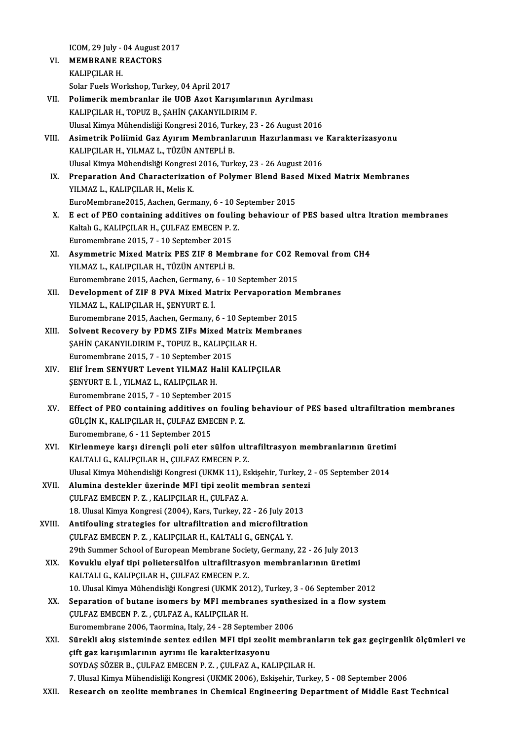ICOM, 29 July - 04 August 2017<br>MEMPRANE REACTORS

- ICOM, 29 July 04 August 2<br>VI. MEMBRANE REACTORS ICOM, 29 July -<br>**MEMBRANE R<br>KALIPÇILAR H.**<br>Solar Evele Wo VI. MEMBRANE REACTORS<br>KALIPÇILAR H.<br>Solar Fuels Workshop, Turkey, 04 April 2017
- VII. Polimerik membranlar ile UOB Azot Karışımlarının Ayrılması KALIPÇILAR H., TOPUZ B., ŞAHİN ÇAKANYILDIRIM F. Polimerik membranlar ile UOB Azot Karışımlarının Ayrılması<br>KALIPÇILAR H., TOPUZ B., ŞAHİN ÇAKANYILDIRIM F.<br>Ulusal Kimya Mühendisliği Kongresi 2016, Turkey, 23 - 26 August 2016<br>Asimetrik Poliimid Caz Auuum Membranlarının Ha
- VIII. Asimetrik Poliimid Gaz Ayırım Membranlarının Hazırlanması ve Karakterizasyonu<br>KALIPCILAR H., YILMAZ L., TÜZÜN ANTEPLİ B. Ulusal Kimya Mühendisliği Kongresi 2016, Turk<br>Asimetrik Poliimid Gaz Ayırım Membranla<br>KALIPÇILAR H., YILMAZ L., TÜZÜN ANTEPLİ B.<br>Ulusal Kimya Mühandisliği Kongresi 2016, Turk Asimetrik Poliimid Gaz Ayırım Membranlarının Hazırlanması ve<br>KALIPÇILAR H., YILMAZ L., TÜZÜN ANTEPLİ B.<br>Ulusal Kimya Mühendisliği Kongresi 2016, Turkey, 23 - 26 August 2016<br>Preperation And Characterization of Polymar Pland KALIPÇILAR H., YILMAZ L., TÜZÜN ANTEPLİ B.<br>Ulusal Kimya Mühendisliği Kongresi 2016, Turkey, 23 - 26 August 2016<br>IX. Preparation And Characterization of Polymer Blend Based Mixed Matrix Membranes<br>VILMAZ L. KALIPCU AB H.
- Ulusal Kimya Mühendisliği Kongres<br><mark>Preparation And Characterizati</mark><br>YILMAZ L., KALIPÇILAR H., Melis K.<br>EuroMembrene<sup>2015,</sup> Assben, Cern Preparation And Characterization of Polymer Blend Base<br>YILMAZ L., KALIPÇILAR H., Melis K.<br>EuroMembrane2015, Aachen, Germany, 6 - 10 September 2015<br>E est of PEO containing additives on fouling bohaviour of YILMAZ L., KALIPÇILAR H., Melis K.<br>EuroMembrane2015, Aachen, Germany, 6 - 10 September 2015<br>X. E ect of PEO containing additives on fouling behaviour of PES based ultra ltration membranes<br>Kaltak C. KALIPCU AR H. CULEAZ EME
- EuroMembrane2015, Aachen, Germany, 6 10 S<br>E ect of PEO containing additives on foulin<br>Kaltalı G., KALIPÇILAR H., ÇULFAZ EMECEN P. Z.<br>Euromembrane 2015, 7 10 September 2015 E ect of PEO containing additives on fouling<br>Kaltali G., KALIPÇILAR H., ÇULFAZ EMECEN P. .<br>Euromembrane 2015, 7 - 10 September 2015<br>Asymmetris Mived Metriy PES 71E 9 Mem Kaltalı G., KALIPÇILAR H., ÇULFAZ EMECEN P. Z.<br>Euromembrane 2015, 7 - 10 September 2015<br>XI. Asymmetric Mixed Matrix PES ZIF 8 Membrane for CO2 Removal from CH4<br>VII MAZ L. KALIPCU AP H. TÜZÜN ANTERLİ P.
- Euromembrane 2015, 7 10 September 2015<br>Asymmetric Mixed Matrix PES ZIF 8 Mem<br>YILMAZ L., KALIPÇILAR H., TÜZÜN ANTEPLİ B.<br>Euromembrane 2015, Aseban Carmany 6, 10 Asymmetric Mixed Matrix PES ZIF 8 Membrane for CO2 R<br>YILMAZ L., KALIPÇILAR H., TÜZÜN ANTEPLI B.<br>Euromembrane 2015, Aachen, Germany, 6 - 10 September 2015<br>Development of ZIE 8 BVA Mixed Matrix Berusperation M YILMAZ L., KALIPÇILAR H., TÜZÜN ANTEPLİ B.<br>Euromembrane 2015, Aachen, Germany, 6 - 10 September 2015<br>XII. Development of ZIF 8 PVA Mixed Matrix Pervaporation Membranes<br>VII MAZ L. KALIPCILAR H. SENVIPT E İ
- Euromembrane 2015, Aachen, Germany,<br>Development of ZIF 8 PVA Mixed Ma<br>YILMAZ L., KALIPÇILAR H., ŞENYURT E. İ.<br>Euromembrane 2015, Asshan, Cermany Development of ZIF 8 PVA Mixed Matrix Pervaporation M<br>YILMAZ L., KALIPÇILAR H., ŞENYURT E. İ.<br>Euromembrane 2015, Aachen, Germany, 6 - 10 September 2015<br>Selvent Besevery by PDMS ZIEs Mixed Matrix Membranes YILMAZ L., KALIPÇILAR H., ŞENYURT E. İ.<br>Euromembrane 2015, Aachen, Germany, 6 - 10 September 2015<br>XIII. Solvent Recovery by PDMS ZIFs Mixed Matrix Membranes
- Euromembrane 2015, Aachen, Germany, 6 10 Septe<br>Solvent Recovery by PDMS ZIFs Mixed Matrix I<br>ŞAHİN ÇAKANYILDIRIM F., TOPUZ B., KALIPÇILAR H.<br>Furomembrane 2015, 7 10 September 2015 Solvent Recovery by PDMS ZIFs Mixed M<br>ŞAHİN ÇAKANYILDIRIM F., TOPUZ B., KALIPÇII<br>Euromembrane 2015, 7 - 10 September 2015<br>Elif İram SENYUPT Lavant VILMAZ Halil I SAHİN ÇAKANYILDIRIM F., TOPUZ B., KALIPÇILAR H.<br>Euromembrane 2015, 7 - 10 September 2015<br>XIV. Elif İrem SENYURT Levent YILMAZ Halil KALIPÇILAR<br>SENYURT E İ. YU MAZ L. KALIPÇILAR H
- Euromembrane 2015, 7 10 September 2<br>Elif İrem SENYURT Levent YILMAZ H.<br>ŞENYURT E. İ., YILMAZ L., KALIPÇILAR H.<br>Euromembrane 2015, 7 10 September 2 Elif İrem SENYURT Levent YILMAZ Halil I<br>ŞENYURT E. İ. , YILMAZ L., KALIPÇILAR H.<br>Euromembrane 2015, 7 - 10 September 2015<br>Fffest of PEO sentaining additives on fou
- SENYURT E. İ. , YILMAZ L., KALIPÇILAR H.<br>Euromembrane 2015, 7 10 September 2015<br>XV. Effect of PEO containing additives on fouling behaviour of PES based ultrafiltration membranes<br>CÜLCİN K. KALIPCU AR H. CULEAZ EMECEN Euromembrane 2015, 7 - 10 September 2015<br>Effect of PEO containing additives on fouling<br>GÜLÇİN K., KALIPÇILAR H., ÇULFAZ EMECEN P. Z. Effect of PEO containing additives of<br>GÜLÇİN K., KALIPÇILAR H., ÇULFAZ EME<br>Euromembrane, 6 - 11 September 2015<br>Kirlanmaya karal dirangli poli atar q GÜLÇİN K., KALIPÇILAR H., ÇULFAZ EMECEN P. Z.<br>Euromembrane, 6 - 11 September 2015<br>XVI. Kirlenmeye karşı dirençli poli eter sülfon ultrafiltrasyon membranlarının üretimi
- Euromembrane, 6 11 September 2015<br>Kirlenmeye karşı dirençli poli eter sülfon ult:<br>KALTALI G., KALIPÇILAR H., ÇULFAZ EMECEN P. Z.<br>Illusel Kimya Mühandisliği Kongresi (IIKMK 11), Es Kirlenmeye karşı dirençli poli eter sülfon ultrafiltrasyon membranlarının üretim<br>KALTALI G., KALIPÇILAR H., ÇULFAZ EMECEN P. Z.<br>Ulusal Kimya Mühendisliği Kongresi (UKMK 11), Eskişehir, Turkey, 2 - 05 September 2014<br>Alumina KALTALI G., KALIPÇILAR H., ÇULFAZ EMECEN P. Z.<br>Ulusal Kimya Mühendisliği Kongresi (UKMK 11), Eskişehir, Turkey, 2<br>XVII. Alumina destekler üzerinde MFI tipi zeolit membran sentezi<br>CULEAZ EMECEN B. Z., KALIBCU AB H., CULEAZ
- Ulusal Kimya Mühendisliği Kongresi (UKMK 11), E:<br>Alumina destekler üzerinde MFI tipi zeolit m<br>ÇULFAZ EMECEN P. Z. , KALIPÇILAR H., ÇULFAZ A.<br>18 Hlusal Kimya Kongresi (2004), Kara Turkay 2. Alumina destekler üzerinde MFI tipi zeolit membran sentez<br>ÇULFAZ EMECEN P. Z. , KALIPÇILAR H., ÇULFAZ A.<br>18. Ulusal Kimya Kongresi (2004), Kars, Turkey, 22 - 26 July 2013<br>Antifouling strategies for ultrafiltration and migr CULFAZ EMECEN P. Z. , KALIPÇILAR H., CULFAZ A.<br>18. Ulusal Kimya Kongresi (2004), Kars, Turkey, 22 - 26 July 2013<br>XVIII. Antifouling strategies for ultrafiltration and microfiltration
- 18. Ulusal Kimya Kongresi (2004), Kars, Turkey, 22 26 July 20<br>Antifouling strategies for ultrafiltration and microfiltrat<br>ÇULFAZ EMECEN P. Z. , KALIPÇILAR H., KALTALI G., GENÇAL Y.<br>20th Summer School of Euroneen Membrane Antifouling strategies for ultrafiltration and microfiltration<br>CULFAZ EMECEN P. Z. , KALIPCILAR H., KALTALI G., GENCAL Y.<br>29th Summer School of European Membrane Society, Germany, 22 - 26 July 2013<br>Kovukly elvef tini polis CULFAZ EMECEN P. Z., KALIPÇILAR H., KALTALI G., GENÇAL Y.<br>29th Summer School of European Membrane Society, Germany, 22 - 26 July 2013<br>XIX. Kovuklu elyaf tipi polietersülfon ultrafiltrasyon membranlarının üretimi
- 29th Summer School of European Membrane Socie<br>Kovuklu elyaf tipi polietersülfon ultrafiltrasy<br>KALTALI G., KALIPÇILAR H., ÇULFAZ EMECEN P. Z.<br>10 Ulucel Kimua Mühandisliği Kanstesi (UKMK 200 Kovuklu elyaf tipi polietersülfon ultrafiltrasyon membranlarının üretimi<br>KALTALI G., KALIPÇILAR H., ÇULFAZ EMECEN P. Z.<br>10. Ulusal Kimya Mühendisliği Kongresi (UKMK 2012), Turkey, 3 - 06 September 2012<br>Separation of butane KALTALI G., KALIPÇILAR H., ÇULFAZ EMECEN P. Z.<br>10. Ulusal Kimya Mühendisliği Kongresi (UKMK 2012), Turkey, 3 - 06 September 2012<br>XX. Separation of butane isomers by MFI membranes synthesized in a flow system<br>CULFAZ EMECEN
- 10. Ulusal Kimya Mühendisliği Kongresi (UKMK 2012), Turkey, 3 06 September 2012<br>Separation of butane isomers by MFI membranes synthesized in a flow syste<br>ÇULFAZ EMECEN P. Z., ÇULFAZ A., KALIPÇILAR H.<br>Euromembrane 2006, T Separation of butane isomers by MFI membranes synthe<br>CULFAZ EMECEN P. Z. , CULFAZ A., KALIPCILAR H.<br>Euromembrane 2006, Taormina, Italy, 24 - 28 September 2006<br>Sünekli akıs sisteminde senter edilen MEI tipi reelit mem
- CULFAZ EMECEN P. Z. , ÇULFAZ A., KALIPÇILAR H.<br>Euromembrane 2006, Taormina, Italy, 24 28 September 2006<br>XXI. Sürekli akış sisteminde sentez edilen MFI tipi zeolit membranların tek gaz geçirgenlik ölçümleri ve<br>eift saz ka Euromembrane 2006, Taormina, Italy, 24 - 28 September<br>Sürekli akış sisteminde sentez edilen MFI tipi zeoli<br>çift gaz karışımlarının ayrımı ile karakterizasyonu<br>SOVDAS SÖZEP P. CULEAZ EMECEN P. Z. CULEAZ A. KA Sürekli akış sisteminde sentez edilen MFI tipi zeolit membran<br>çift gaz karışımlarının ayrımı ile karakterizasyonu<br>SOYDAŞ SÖZER B., ÇULFAZ EMECEN P. Z. , ÇULFAZ A., KALIPÇILAR H.<br>7. Ulugal Yimua Mühandialiği Kanaresi (UKMK çift gaz karışımlarının ayrımı ile karakterizasyonu<br>SOYDAŞ SÖZER B., ÇULFAZ EMECEN P. Z. , ÇULFAZ A., KALIPÇILAR H.<br>7. Ulusal Kimya Mühendisliği Kongresi (UKMK 2006), Eskişehir, Turkey, 5 - 08 September 2006
- XXII. Research on zeolite membranes in Chemical Engineering Department of Middle East Technical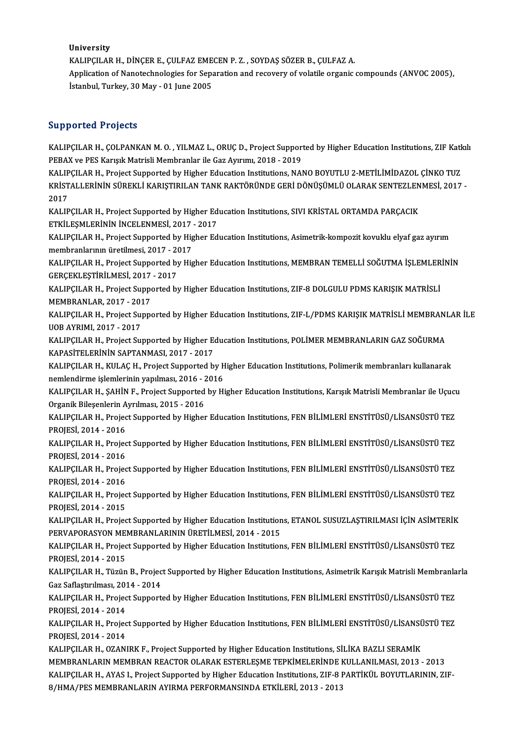University

University<br>KALIPÇILAR H., DİNÇER E., ÇULFAZ EMECEN P. Z. , SOYDAŞ SÖZER B., ÇULFAZ A.<br>Annligation of Nanatashnalasias for Sanaration and reseyery of valatile exsenis.

Application of Nanotechnologies for Separation and recovery of volatile organic compounds (ANVOC 2005), Istanbul, Turkey, 30 May - 01 June 2005 KALIPÇILAR H., DİNÇER E., ÇULFAZ EME<br>Application of Nanotechnologies for Sepa<br>İstanbul, Turkey, 30 May - 01 June 2005

### Supported Projects

Supported Projects<br>KALIPÇILAR H., ÇOLPANKAN M. O. , YILMAZ L., ORUÇ D., Project Supported by Higher Education Institutions, ZIF Katkılı<br>RERAX ve RES Karisık Matrisli Mambranlar ilə Gaz Ayrıyını, 2019, 2019 PEPOT CORTT SYSOLS<br>RALIPÇILAR H., ÇOLPANKAN M. O. , YILMAZ L., ORUÇ D., Project Suppor<br>PEBAX ve PES Karışık Matrisli Membranlar ile Gaz Ayırımı, 2018 - 2019<br>KALIPCU AB H. Project Supported by Higher Education Institutions KALIPÇILAR H., ÇOLPANKAN M. O. , YILMAZ L., ORUÇ D., Project Supported by Higher Education Institutions, ZIF Katk<br>PEBAX ve PES Karışık Matrisli Membranlar ile Gaz Ayırımı, 2018 - 2019<br>KALIPÇILAR H., Project Supported by Hi

PEBAX ve PES Karışık Matrisli Membranlar ile Gaz Ayırımı, 2018 - 2019<br>KALIPÇILAR H., Project Supported by Higher Education Institutions, NANO BOYUTLU 2-METİLİMİDAZOL ÇİNKO TUZ<br>KRİSTALLERİNİN SÜREKLİ KARIŞTIRILAN TANK RAKTÖ KALIP<br>KRİST<br>2017<br>KALIP KRİSTALLERİNİN SÜREKLİ KARIŞTIRILAN TANK RAKTÖRÜNDE GERİ DÖNÜŞÜMLÜ OLARAK SENTEZLEN<br>2017<br>KALIPÇILAR H., Project Supported by Higher Education Institutions, SIVI KRİSTAL ORTAMDA PARÇACIK<br>ETKİLESMI ERİNİN İNCELENMESİ, 2017, 2017<br>KALIPÇILAR H., Project Supported by Higher Education Institutions, SIVI KRİSTAL ORTAMDA PARÇACIK

ETKİLEŞMLERİNİN İNCELENMESİ, 2017 - 2017

KALIPÇILAR H., Project Supported by Higher Education Institutions, Asimetrik-kompozit kovuklu elyaf gaz ayırım<br>membranlarının üretilmesi, 2017 - 2017 KALIPÇILAR H., Project Supported by Higher Education Institutions, Asimetrik-kompozit kovuklu elyaf gaz ayırım<br>membranlarının üretilmesi, 2017 - 2017<br>KALIPÇILAR H., Project Supported by Higher Education Institutions, MEMBR

membranlarının üretilmesi, 2017 - 20<br>KALIPÇILAR H., Project Supported by<br>GERÇEKLEŞTİRİLMESİ, 2017 - 2017<br>KALIPCU AR H. Project Supported by KALIPÇILAR H., Project Supported by Higher Education Institutions, MEMBRAN TEMELLİ SOĞUTMA İŞLEMLER<br>GERÇEKLEŞTİRİLMESİ, 2017 - 2017<br>KALIPÇILAR H., Project Supported by Higher Education Institutions, ZIF-8 DOLGULU PDMS KARI

GERÇEKLEŞTİRİLMESİ, 2017 - 2017<br>KALIPÇILAR H., Project Supported by Higher Education Institutions, ZIF-8 DOLGULU PDMS KARIŞIK MATRİSLİ<br>MEMBRANLAR, 2017 - 2017 KALIPÇILAR H., Project Supported by Higher Education Institutions, ZIF-8 DOLGULU PDMS KARIŞIK MATRİSLİ<br>MEMBRANLAR, 2017 - 2017<br>KALIPÇILAR H., Project Supported by Higher Education Institutions, ZIF-L/PDMS KARIŞIK MATRİSLİ

MEMBRANLAR, 2017 - 201<br>KALIPÇILAR H., Project Su<br>UOB AYRIMI, 2017 - 2017<br>KALIPCU AB H., Project Su KALIPÇILAR H., Project Supported by Higher Education Institutions, ZIF-L/PDMS KARIŞIK MATRİSLİ MEMBRANI<br>UOB AYRIMI, 2017 - 2017<br>KALIPÇILAR H., Project Supported by Higher Education Institutions, POLİMER MEMBRANLARIN GAZ SO

UOB AYRIMI, 2017 - 2017<br>KALIPÇILAR H., Project Supported by Higher Education Institutions, POLİMER MEMBRANLARIN GAZ SOĞURMA<br>KAPASİTELERİNİN SAPTANMASI, 2017 - 2017 KALIPÇILAR H., Project Supported by Higher Education Institutions, POLİMER MEMBRANLARIN GAZ SOĞURMA<br>KAPASİTELERİNİN SAPTANMASI, 2017 - 2017<br>KALIPÇILAR H., KULAÇ H., Project Supported by Higher Education Institutions, Polim

KAPASİTELERİNİN SAPTANMASI, 2017 - 2017<br>KALIPÇILAR H., KULAÇ H., Project Supported by H<br>nemlendirme işlemlerinin yapılması, 2016 - 2016<br>KALIPCU AR H. SAHİN E. Project Supported by Hi KALIPÇILAR H., KULAÇ H., Project Supported by Higher Education Institutions, Polimerik membranları kullanarak<br>nemlendirme işlemlerinin yapılması, 2016 - 2016<br>KALIPÇILAR H., ŞAHİN F., Project Supported by Higher Education I

nemlendirme işlemlerinin yapılması, 2016 - 2016<br>KALIPÇILAR H., ŞAHİN F., Project Supported by Higher Education Institutions, Karışık Matrisli Membranlar ile Uçucu<br>Organik Bileşenlerin Ayrılması, 2015 - 2016 KALIPÇILAR H., ŞAHİN F., Project Supported by Higher Education Institutions, Karışık Matrisli Membranlar ile Uçucı<br>Organik Bileşenlerin Ayrılması, 2015 - 2016<br>KALIPÇILAR H., Project Supported by Higher Education Institutio

Organik Bileşenlerin A<br>KALIPÇILAR H., Projec<br>PROJESİ, 2014 - 2016<br>KALIPCU AB H., Projec KALIPÇILAR H., Project Supported by Higher Education Institutions, FEN BİLİMLERİ ENSTİTÜSÜ/LİSANSÜSTÜ TEZ<br>PROJESİ, 2014 - 2016<br>KALIPÇILAR H., Project Supported by Higher Education Institutions, FEN BİLİMLERİ ENSTİTÜSÜ/LİSA

PROJESİ, 2014 - 2016<br>KALIPÇILAR H., Projec<br>PROJESİ, 2014 - 2016<br>KALIPCU AR H., Projec KALIPÇILAR H., Project Supported by Higher Education Institutions, FEN BİLİMLERİ ENSTİTÜSÜ/LİSANSÜSTÜ TEZ<br>PROJESİ, 2014 - 2016<br>KALIPÇILAR H., Project Supported by Higher Education Institutions, FEN BİLİMLERİ ENSTİTÜSÜ/LİSA

PROJESİ, 2014 - 2016<br>KALIPÇILAR H., Project Supported by Higher Education Institutions, FEN BİLİMLERİ ENSTİTÜSÜ/LİSANSÜSTÜ TEZ<br>PROJESİ, 2014 - 2016 KALIPÇILAR H., Project Supported by Higher Education Institutions, FEN BİLİMLERİ ENSTİTÜSÜ/LİSANSÜSTÜ TEZ<br>PROJESİ, 2014 - 2016<br>KALIPÇILAR H., Project Supported by Higher Education Institutions, FEN BİLİMLERİ ENSTİTÜSÜ/LİSA

PROJESİ, 2014 - 2016<br>KALIPÇILAR H., Projec<br>PROJESİ, 2014 - 2015<br>KALIPCU AB H., Projec KALIPÇILAR H., Project Supported by Higher Education Institutions, FEN BİLİMLERİ ENSTİTÜSÜ/LİSANSÜSTÜ TEZ<br>PROJESİ, 2014 - 2015<br>KALIPÇILAR H., Project Supported by Higher Education Institutions, ETANOL SUSUZLAŞTIRILMASI İÇİ

PROJESİ, 2014 - 2015<br>KALIPÇILAR H., Project Supported by Higher Education Institutions, ETANOL SUSUZLAŞTIRILMASI İÇİN ASİMTERİK<br>PERVAPORASYON MEMBRANLARININ ÜRETİLMESİ, 2014 - 2015 KALIPÇILAR H., Project Supported by Higher Education Institutions, ETANOL SUSUZLAŞTIRILMASI İÇİN ASİMTERİK<br>PERVAPORASYON MEMBRANLARININ ÜRETİLMESİ, 2014 - 2015<br>KALIPÇILAR H., Project Supported by Higher Education Instituti

PERVAPORASYON ME<br>KALIPÇILAR H., Projec<br>PROJESİ, 2014 - 2015<br>KALIPCILAR H., Türün KALIPÇILAR H., Project Supported by Higher Education Institutions, FEN BİLİMLERİ ENSTİTÜSÜ/LİSANSÜSTÜ TEZ<br>PROJESİ, 2014 - 2015<br>KALIPÇILAR H., Tüzün B., Project Supported by Higher Education Institutions, Asimetrik Karışık

PROJESİ, 2014 - 2015<br>KALIPÇILAR H., Tüzün B., Projec<br>Gaz Saflaştırılması, 2014 - 2014<br>KALIPCU AB H., Project Support KALIPÇILAR H., Tüzün B., Project Supported by Higher Education Institutions, Asimetrik Karışık Matrisli Membranla<br>Gaz Saflaştırılması, 2014 - 2014<br>KALIPÇILAR H., Project Supported by Higher Education Institutions, FEN BİLİ

Gaz Saflaştırılması, 2014 - 2014<br>KALIPÇILAR H., Project Support<br>PROJESİ, 2014 - 2014

KALIPÇILAR H., Project Supported by Higher Education Institutions, FEN BİLİMLERİ ENSTİTÜSÜ/LİSANSÜSTÜ TEZ<br>PROJESİ, 2014 - 2014<br>KALIPÇILAR H., Project Supported by Higher Education Institutions, FEN BİLİMLERİ ENSTİTÜSÜ/LİSA PROJESİ, 2014 - 2014<br>KALIPÇILAR H., Projec<br>PROJESİ, 2014 - 2014<br>KALIPCU AR H., OZANI KALIPÇILAR H., Project Supported by Higher Education Institutions, FEN BİLİMLERİ ENSTİTÜSÜ/LİSANSÜ<br>PROJESİ, 2014 - 2014<br>KALIPÇILAR H., OZANIRK F., Project Supported by Higher Education Institutions, SİLİKA BAZLI SERAMİK<br>ME

PROJESİ, 2014 - 2014<br>KALIPÇILAR H., OZANIRK F., Project Supported by Higher Education Institutions, SİLİKA BAZLI SERAMİK<br>MEMBRANLARIN MEMBRAN REACTOR OLARAK ESTERLEŞME TEPKİMELERİNDE KULLANILMASI, 2013 - 2013<br>KALIPCU AR H. KALIPÇILAR H., OZANIRK F., Project Supported by Higher Education Institutions, SİLİKA BAZLI SERAMİK<br>MEMBRANLARIN MEMBRAN REACTOR OLARAK ESTERLEŞME TEPKİMELERİNDE KULLANILMASI, 2013 - 2013<br>KALIPÇILAR H., AYAS I., Project Su MEMBRANLARIN MEMBRAN REACTOR OLARAK ESTERLEŞME TEPKİMELERİNDE I<br>KALIPÇILAR H., AYAS I., Project Supported by Higher Education Institutions, ZIF-8 I<br>8/HMA/PES MEMBRANLARIN AYIRMA PERFORMANSINDA ETKİLERİ, 2013 - 2013